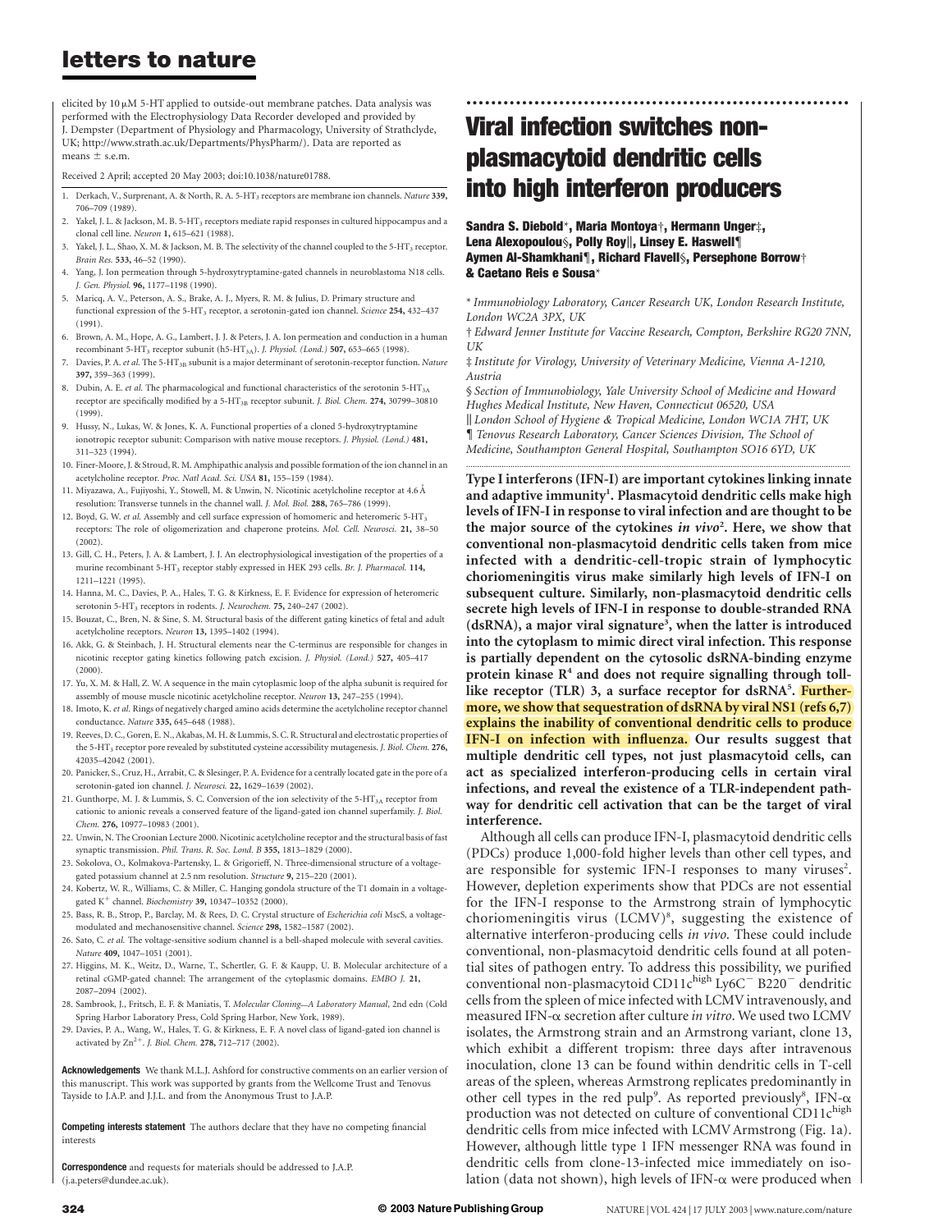## letters to nature

elicited by  $10 \mu$ M 5-HT applied to outside-out membrane patches. Data analysis was performed with the Electrophysiology Data Recorder developed and provided by J. Dempster (Department of Physiology and Pharmacology, University of Strathclyde, UK; http://www.strath.ac.uk/Departments/PhysPharm/). Data are reported as means  $\pm$  s.e.m.

Received 2 April; accepted 20 May 2003; doi:10.1038/nature01788.

- 1. Derkach, V., Surprenant, A. & North, R. A. 5-HT<sub>3</sub> receptors are membrane ion channels. Nature 339, 706–709 (1989).
- 2. Yakel, J. L. & Jackson, M. B. 5-HT3 receptors mediate rapid responses in cultured hippocampus and a clonal cell line. Neuron 1, 615–621 (1988).
- 3. Yakel, J. L., Shao, X. M. & Jackson, M. B. The selectivity of the channel coupled to the 5-HT<sub>3</sub> receptor. Brain Res. 533, 46–52 (1990).
- 4. Yang, J. Ion permeation through 5-hydroxytryptamine-gated channels in neuroblastoma N18 cells. J. Gen. Physiol. 96, 1177–1198 (1990).
- 5. Maricq, A. V., Peterson, A. S., Brake, A. J., Myers, R. M. & Julius, D. Primary structure and functional expression of the 5-HT<sub>3</sub> receptor, a serotonin-gated ion channel. Science 254, 432-437 (1991).
- 6. Brown, A. M., Hope, A. G., Lambert, J. J. & Peters, J. A. Ion permeation and conduction in a human recombinant 5-HT<sub>3</sub> receptor subunit (h5-HT<sub>3A</sub>). J. Physiol. (Lond.) **507,** 653-665 (1998).
- 7. Davies, P. A. et al. The 5-HT<sub>3B</sub> subunit is a major determinant of serotonin-receptor function. Nature 397, 359–363 (1999).
- 8. Dubin, A. E. et al. The pharmacological and functional characteristics of the serotonin 5-HT<sub>3A</sub> receptor are specifically modified by a 5-HT<sub>3B</sub> receptor subunit. J. Biol. Chem. 274, 30799-30810 (1999).
- 9. Hussy, N., Lukas, W. & Jones, K. A. Functional properties of a cloned 5-hydroxytryptamine ionotropic receptor subunit: Comparison with native mouse receptors. J. Physiol. (Lond.) 481, 311–323 (1994).
- 10. Finer-Moore, J. & Stroud, R. M. Amphipathic analysis and possible formation of the ion channel in an acetylcholine receptor. Proc. Natl Acad. Sci. USA 81, 155-159 (1984).
- 11. Miyazawa, A., Fujiyoshi, Y., Stowell, M. & Unwin, N. Nicotinic acetylcholine receptor at 4.6 A˚ resolution: Transverse tunnels in the channel wall. J. Mol. Biol. 288, 765–786 (1999).
- 12. Boyd, G. W. et al. Assembly and cell surface expression of homomeric and heteromeric 5-HT<sub>3</sub> receptors: The role of oligomerization and chaperone proteins. Mol. Cell. Neurosci. 21, 38–50 (2002).
- 13. Gill, C. H., Peters, J. A. & Lambert, J. J. An electrophysiological investigation of the properties of a murine recombinant 5-HT3 receptor stably expressed in HEK 293 cells. Br. J. Pharmacol. 114, 1211–1221 (1995).
- 14. Hanna, M. C., Davies, P. A., Hales, T. G. & Kirkness, E. F. Evidence for expression of heteromeric serotonin 5-HT<sub>3</sub> receptors in rodents. J. Neurochem. 75, 240-247 (2002).
- 15. Bouzat, C., Bren, N. & Sine, S. M. Structural basis of the different gating kinetics of fetal and adult acetylcholine receptors. Neuron 13, 1395–1402 (1994).
- 16. Akk, G. & Steinbach, J. H. Structural elements near the C-terminus are responsible for changes in nicotinic receptor gating kinetics following patch excision. J. Physiol. (Lond.) 527, 405–417 (2000).
- 17. Yu, X. M. & Hall, Z. W. A sequence in the main cytoplasmic loop of the alpha subunit is required for assembly of mouse muscle nicotinic acetylcholine receptor. Neuron 13, 247–255 (1994).
- 18. Imoto, K. et al. Rings of negatively charged amino acids determine the acetylcholine receptor channel conductance. Nature 335, 645–648 (1988).
- 19. Reeves, D. C., Goren, E. N., Akabas, M. H. & Lummis, S. C. R. Structural and electrostatic properties of the 5-HT<sub>3</sub> receptor pore revealed by substituted cysteine accessibility mutagenesis. J. Biol. Chem. 276, 42035–42042 (2001).
- 20. Panicker, S., Cruz, H., Arrabit, C. & Slesinger, P. A. Evidence for a centrally located gate in the pore of a serotonin-gated ion channel. J. Neurosci. 22, 1629–1639 (2002).
- 21. Gunthorpe, M. J. & Lummis, S. C. Conversion of the ion selectivity of the 5-HT<sub>3A</sub> receptor from cationic to anionic reveals a conserved feature of the ligand-gated ion channel superfamily. J. Biol. Chem. 276, 10977–10983 (2001).
- 22. Unwin, N. The Croonian Lecture 2000. Nicotinic acetylcholine receptor and the structural basis of fast synaptic transmission. Phil. Trans. R. Soc. Lond. B 355, 1813-1829 (2000).
- 23. Sokolova, O., Kolmakova-Partensky, L. & Grigorieff, N. Three-dimensional structure of a voltagegated potassium channel at 2.5 nm resolution. Structure 9, 215–220 (2001).
- 24. Kobertz, W. R., Williams, C. & Miller, C. Hanging gondola structure of the T1 domain in a voltagegated  $\rm K^+$  channel. Biochemistry 39, 10347–10352 (2000).
- 25. Bass, R. B., Strop, P., Barclay, M. & Rees, D. C. Crystal structure of Escherichia coli MscS, a voltagemodulated and mechanosensitive channel. Science 298, 1582–1587 (2002).
- 26. Sato, C. et al. The voltage-sensitive sodium channel is a bell-shaped molecule with several cavities. Nature 409, 1047–1051 (2001).
- 27. Higgins, M. K., Weitz, D., Warne, T., Schertler, G. F. & Kaupp, U. B. Molecular architecture of a retinal cGMP-gated channel: The arrangement of the cytoplasmic domains. EMBO J. 21, 2087–2094 (2002).
- 28. Sambrook, J., Fritsch, E. F. & Maniatis, T. Molecular Cloning—A Laboratory Manual, 2nd edn (Cold Spring Harbor Laboratory Press, Cold Spring Harbor, New York, 1989).
- 29. Davies, P. A., Wang, W., Hales, T. G. & Kirkness, E. F. A novel class of ligand-gated ion channel is activated by  $Zn^{2+}$ . J. Biol. Chem. 278, 712-717 (2002).

Acknowledgements We thank M.L.J. Ashford for constructive comments on an earlier version of this manuscript. This work was supported by grants from the Wellcome Trust and Tenovus Tayside to J.A.P. and J.J.L. and from the Anonymous Trust to J.A.P.

Competing interests statement The authors declare that they have no competing financial interests

**Correspondence** and requests for materials should be addressed to LA.P. (j.a.peters@dundee.ac.uk).

# Viral infection switches nonplasmacytoid dendritic cells into high interferon producers

Sandra S. Diebold\*, Maria Montoya†, Hermann Unger‡, Lena Alexopoulou§, Polly Roy||, Linsey E. Haswell¶ Aymen Al-Shamkhani{, Richard Flavell§, Persephone Borrow† & Caetano Reis e Sousa\*

\* Immunobiology Laboratory, Cancer Research UK, London Research Institute, London WC2A 3PX, UK

..............................................................

† Edward Jenner Institute for Vaccine Research, Compton, Berkshire RG20 7NN, UK

‡ Institute for Virology, University of Veterinary Medicine, Vienna A-1210, Austria

§ Section of Immunobiology, Yale University School of Medicine and Howard Hughes Medical Institute, New Haven, Connecticut 06520, USA

|| London School of Hygiene & Tropical Medicine, London WC1A 7HT, UK { Tenovus Research Laboratory, Cancer Sciences Division, The School of Medicine, Southampton General Hospital, Southampton SO16 6YD, UK

.............................................................................................................................................................................

Type I interferons (IFN-I) are important cytokines linking innate and adaptive immunity<sup>1</sup>. Plasmacytoid dendritic cells make high levels of IFN-I in response to viral infection and are thought to be the major source of the cytokines in vivo<sup>2</sup>. Here, we show that conventional non-plasmacytoid dendritic cells taken from mice infected with a dendritic-cell-tropic strain of lymphocytic choriomeningitis virus make similarly high levels of IFN-I on subsequent culture. Similarly, non-plasmacytoid dendritic cells secrete high levels of IFN-I in response to double-stranded RNA (dsRNA), a major viral signature<sup>3</sup>, when the latter is introduced into the cytoplasm to mimic direct viral infection. This response is partially dependent on the cytosolic dsRNA-binding enzyme protein kinase  $R<sup>4</sup>$  and does not require signalling through tolllike receptor (TLR) 3, a surface receptor for dsRNA<sup>5</sup>. <mark>Further-</mark> more, we show that sequestration of dsRNA by viral NS1 (refs 6,7) explains the inability of conventional dendritic cells to produce IFN-I on infection with influenza. Our results suggest that multiple dendritic cell types, not just plasmacytoid cells, can act as specialized interferon-producing cells in certain viral infections, and reveal the existence of a TLR-independent pathway for dendritic cell activation that can be the target of viral interference.

Although all cells can produce IFN-I, plasmacytoid dendritic cells (PDCs) produce 1,000-fold higher levels than other cell types, and are responsible for systemic IFN-I responses to many viruses<sup>2</sup>. However, depletion experiments show that PDCs are not essential for the IFN-I response to the Armstrong strain of lymphocytic choriomeningitis virus (LCMV)<sup>8</sup>, suggesting the existence of alternative interferon-producing cells in vivo. These could include conventional, non-plasmacytoid dendritic cells found at all potential sites of pathogen entry. To address this possibility, we purified conventional non-plasmacytoid CD11chigh Ly6C<sup>-</sup> B220<sup>-</sup> dendritic cells from the spleen of mice infected with LCMV intravenously, and measured IFN- $\alpha$  secretion after culture in vitro. We used two LCMV isolates, the Armstrong strain and an Armstrong variant, clone 13, which exhibit a different tropism: three days after intravenous inoculation, clone 13 can be found within dendritic cells in T-cell areas of the spleen, whereas Armstrong replicates predominantly in other cell types in the red pulp<sup>9</sup>. As reported previously<sup>8</sup>, IFN- $\alpha$ production was not detected on culture of conventional CD11c<sup>high</sup> dendritic cells from mice infected with LCMV Armstrong (Fig. 1a). However, although little type 1 IFN messenger RNA was found in dendritic cells from clone-13-infected mice immediately on isolation (data not shown), high levels of IFN- $\alpha$  were produced when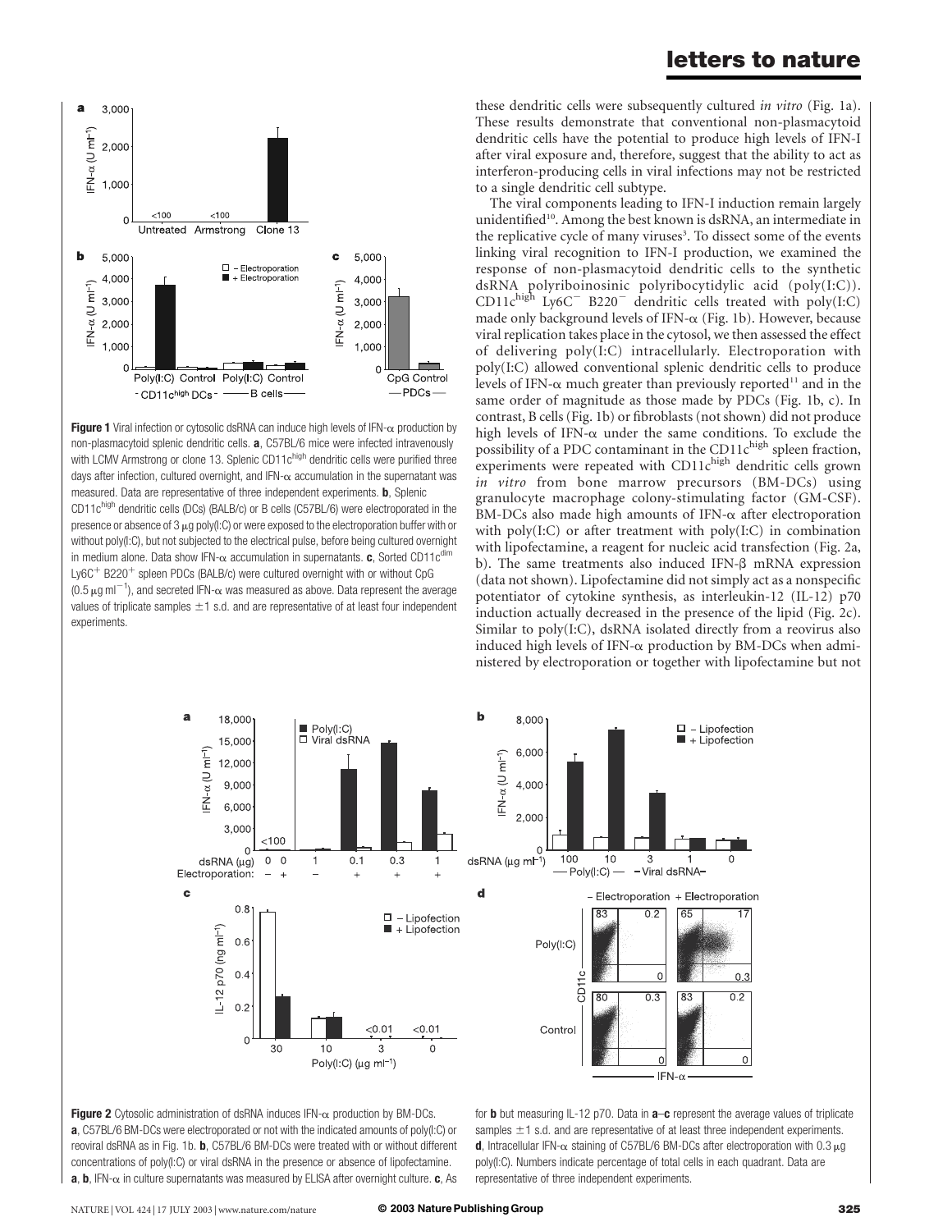



The viral components leading to IFN-I induction remain largely unidentified<sup>10</sup>. Among the best known is dsRNA, an intermediate in the replicative cycle of many viruses<sup>3</sup>. To dissect some of the events linking viral recognition to IFN-I production, we examined the response of non-plasmacytoid dendritic cells to the synthetic dsRNA polyriboinosinic polyribocytidylic acid (poly(I:C)). CD11chigh Ly6C<sup>-</sup> B220<sup>-</sup> dendritic cells treated with poly(I:C) made only background levels of IFN-<sup>a</sup> (Fig. 1b). However, because viral replication takes place in the cytosol, we then assessed the effect of delivering poly(I:C) intracellularly. Electroporation with poly(I:C) allowed conventional splenic dendritic cells to produce levels of IFN- $\alpha$  much greater than previously reported<sup>11</sup> and in the same order of magnitude as those made by PDCs (Fig. 1b, c). In contrast, B cells (Fig. 1b) or fibroblasts (not shown) did not produce high levels of IFN- $\alpha$  under the same conditions. To exclude the possibility of a PDC contaminant in the CD11 $c^{\text{high}}$  spleen fraction, experiments were repeated with CD11chigh dendritic cells grown in vitro from bone marrow precursors (BM-DCs) using granulocyte macrophage colony-stimulating factor (GM-CSF).  $BM\text{-DCs}$  also made high amounts of IFN- $\alpha$  after electroporation with poly(I:C) or after treatment with poly(I:C) in combination with lipofectamine, a reagent for nucleic acid transfection (Fig. 2a, b). The same treatments also induced IFN- $\beta$  mRNA expression (data not shown). Lipofectamine did not simply act as a nonspecific potentiator of cytokine synthesis, as interleukin-12 (IL-12) p70 induction actually decreased in the presence of the lipid (Fig. 2c). Similar to poly(I:C), dsRNA isolated directly from a reovirus also induced high levels of IFN- $\alpha$  production by BM-DCs when administered by electroporation or together with lipofectamine but not



Figure 2 Cytosolic administration of dsRNA induces  $IFN-\alpha$  production by BM-DCs. a, C57BL/6 BM-DCs were electroporated or not with the indicated amounts of poly(I:C) or reoviral dsRNA as in Fig. 1b. b, C57BL/6 BM-DCs were treated with or without different concentrations of poly(I:C) or viral dsRNA in the presence or absence of lipofectamine.  $a, b$ , IFN- $\alpha$  in culture supernatants was measured by ELISA after overnight culture.  $c$ , As

**Figure 1** Viral infection or cytosolic dsRNA can induce high levels of IFN- $\alpha$  production by non-plasmacytoid splenic dendritic cells. a, C57BL/6 mice were infected intravenously with LCMV Armstrong or clone 13. Splenic CD11 $c<sup>high</sup>$  dendritic cells were purified three days after infection, cultured overnight, and IFN- $\alpha$  accumulation in the supernatant was measured. Data are representative of three independent experiments. b, Splenic CD11c<sup>high</sup> dendritic cells (DCs) (BALB/c) or B cells (C57BL/6) were electroporated in the presence or absence of 3  $\mu$ g poly(I:C) or were exposed to the electroporation buffer with or without poly(I:C), but not subjected to the electrical pulse, before being cultured overnight in medium alone. Data show IFN- $\alpha$  accumulation in supernatants. c, Sorted CD11c<sup>dim</sup> Ly6C<sup>+</sup> B220<sup>+</sup> spleen PDCs (BALB/c) were cultured overnight with or without CpG (0.5  $\mu$ g ml<sup>-1</sup>), and secreted IFN- $\alpha$  was measured as above. Data represent the average values of triplicate samples  $\pm 1$  s.d. and are representative of at least four independent

-B cells-

Clone 13

 $\square$  - Electroporation

+ Electroporation

5,000

4,000

3,000

2,000

 $1.000$  $\mathsf{C}$ 

CpG Control -PDCs-

c

 $FN-\alpha$  (U m $T$ )

experiments.

 $\overline{a}$ 

 $FN-\alpha$  (U m $F^1$ 2,000

b

 $F N-\alpha$  (U m $T^{-1}$ )

3,000

1,000

5,000

4.000

3,000

 $2,000$ 

 $1,000$ 

 $\Omega$ 

 $< 100$ 

 $< 100$ 

Poly(I:C) Control Poly(I:C) Control

- CD11chigh DCs - -

Untreated Armstrong

for **b** but measuring  $|L-12 p70$ . Data in  $a-c$  represent the average values of triplicate samples  $\pm$ 1 s.d. and are representative of at least three independent experiments. d, Intracellular IFN- $\alpha$  staining of C57BL/6 BM-DCs after electroporation with 0.3  $\mu$ g poly(I:C). Numbers indicate percentage of total cells in each quadrant. Data are representative of three independent experiments.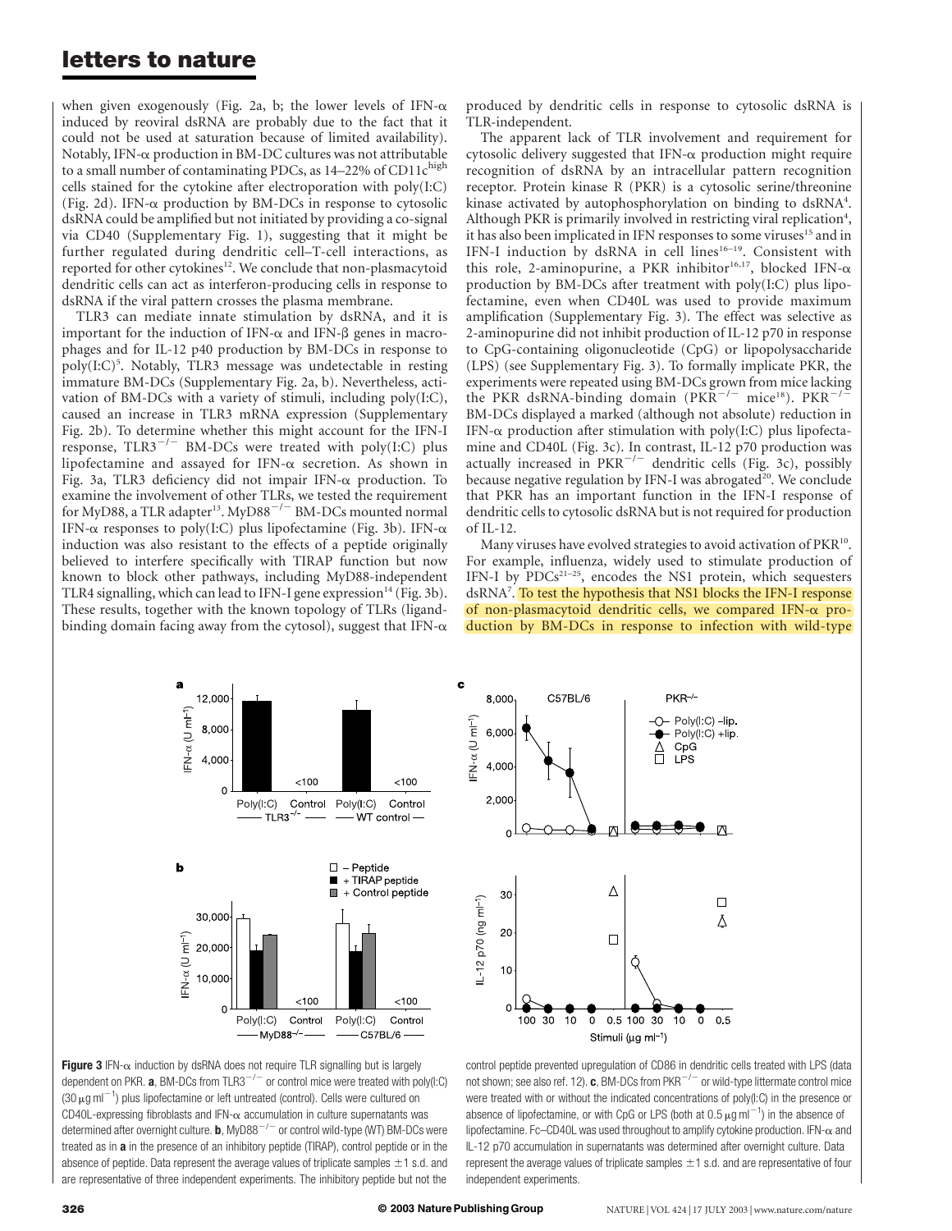### letters to nature

when given exogenously (Fig. 2a, b; the lower levels of IFN- $\alpha$ induced by reoviral dsRNA are probably due to the fact that it could not be used at saturation because of limited availability). Notably, IFN- $\alpha$  production in BM-DC cultures was not attributable to a small number of contaminating PDCs, as  $14-22\%$  of CD11 $c^{\text{high}}$ cells stained for the cytokine after electroporation with poly(I:C) (Fig. 2d). IFN- $\alpha$  production by BM-DCs in response to cytosolic dsRNA could be amplified but not initiated by providing a co-signal via CD40 (Supplementary Fig. 1), suggesting that it might be further regulated during dendritic cell–T-cell interactions, as reported for other cytokines<sup>12</sup>. We conclude that non-plasmacytoid dendritic cells can act as interferon-producing cells in response to dsRNA if the viral pattern crosses the plasma membrane.

TLR3 can mediate innate stimulation by dsRNA, and it is important for the induction of IFN- $\alpha$  and IFN- $\beta$  genes in macrophages and for IL-12 p40 production by BM-DCs in response to poly(I:C)<sup>5</sup>. Notably, TLR3 message was undetectable in resting immature BM-DCs (Supplementary Fig. 2a, b). Nevertheless, activation of BM-DCs with a variety of stimuli, including poly(I:C), caused an increase in TLR3 mRNA expression (Supplementary Fig. 2b). To determine whether this might account for the IFN-I response,  $TLR3^{-/-}$  BM-DCs were treated with poly(I:C) plus lipofectamine and assayed for IFN- $\alpha$  secretion. As shown in Fig. 3a, TLR3 deficiency did not impair IFN-<sup>a</sup> production. To examine the involvement of other TLRs, we tested the requirement for MyD88, a TLR adapter<sup>13</sup>. MyD88<sup>-/-</sup> BM-DCs mounted normal IFN- $\alpha$  responses to poly(I:C) plus lipofectamine (Fig. 3b). IFN- $\alpha$ induction was also resistant to the effects of a peptide originally believed to interfere specifically with TIRAP function but now known to block other pathways, including MyD88-independent TLR4 signalling, which can lead to IFN-I gene expression $^{14}$  (Fig. 3b). These results, together with the known topology of TLRs (ligandbinding domain facing away from the cytosol), suggest that  $IFN-\alpha$ 

produced by dendritic cells in response to cytosolic dsRNA is TLR-independent.

The apparent lack of TLR involvement and requirement for cytosolic delivery suggested that IFN- $\alpha$  production might require recognition of dsRNA by an intracellular pattern recognition receptor. Protein kinase R (PKR) is a cytosolic serine/threonine kinase activated by autophosphorylation on binding to dsRNA<sup>4</sup>. Although PKR is primarily involved in restricting viral replication<sup>4</sup>, it has also been implicated in IFN responses to some viruses<sup>15</sup> and in IFN-I induction by dsRNA in cell lines<sup>16-19</sup>. Consistent with this role, 2-aminopurine, a PKR inhibitor<sup>16,17</sup>, blocked IFN- $\alpha$ production by BM-DCs after treatment with poly(I:C) plus lipofectamine, even when CD40L was used to provide maximum amplification (Supplementary Fig. 3). The effect was selective as 2-aminopurine did not inhibit production of IL-12 p70 in response to CpG-containing oligonucleotide (CpG) or lipopolysaccharide (LPS) (see Supplementary Fig. 3). To formally implicate PKR, the experiments were repeated using BM-DCs grown from mice lacking the PKR dsRNA-binding domain (PKR<sup>-/-</sup> mice<sup>18</sup>). PKR<sup>-</sup> BM-DCs displayed a marked (although not absolute) reduction in IFN- $\alpha$  production after stimulation with poly(I:C) plus lipofectamine and CD40L (Fig. 3c). In contrast, IL-12 p70 production was actually increased in  $PKR^{-/-}$  dendritic cells (Fig. 3c), possibly because negative regulation by IFN-I was abrogated<sup>20</sup>. We conclude that PKR has an important function in the IFN-I response of dendritic cells to cytosolic dsRNA but is not required for production of IL-12.

Many viruses have evolved strategies to avoid activation of PKR<sup>10</sup>. For example, influenza, widely used to stimulate production of IFN-I by PDCs<sup>21-25</sup>, encodes the NS1 protein, which sequesters dsRNA7 . To test the hypothesis that NS1 blocks the IFN-I response of non-plasmacytoid dendritic cells, we compared IFN- $\alpha$  production by BM-DCs in response to infection with wild-type



Figure 3 IFN- $\alpha$  induction by dsRNA does not require TLR signalling but is largely dependent on PKR.  $\mathbf{a}$ , BM-DCs from TLR3<sup>-/-</sup> or control mice were treated with poly(I:C) (30  $\mu$ g ml<sup>-1</sup>) plus lipofectamine or left untreated (control). Cells were cultured on CD40L-expressing fibroblasts and IFN- $\alpha$  accumulation in culture supernatants was determined after overnight culture. **b**, MyD88<sup>-/-</sup> or control wild-type (WT) BM-DCs were treated as in a in the presence of an inhibitory peptide (TIRAP), control peptide or in the absence of peptide. Data represent the average values of triplicate samples  $\pm 1$  s.d. and are representative of three independent experiments. The inhibitory peptide but not the



control peptide prevented upregulation of CD86 in dendritic cells treated with LPS (data not shown; see also ref. 12).  $\mathbf{c}$ , BM-DCs from PKR<sup>-/-</sup> or wild-type littermate control mice were treated with or without the indicated concentrations of poly(I:C) in the presence or absence of lipofectamine, or with CpG or LPS (both at 0.5  $\mu$ g ml<sup>-1</sup>) in the absence of lipofectamine. Fc–CD40L was used throughout to amplify cytokine production. IFN- $\alpha$  and IL-12 p70 accumulation in supernatants was determined after overnight culture. Data represent the average values of triplicate samples  $\pm 1$  s.d. and are representative of four independent experiments.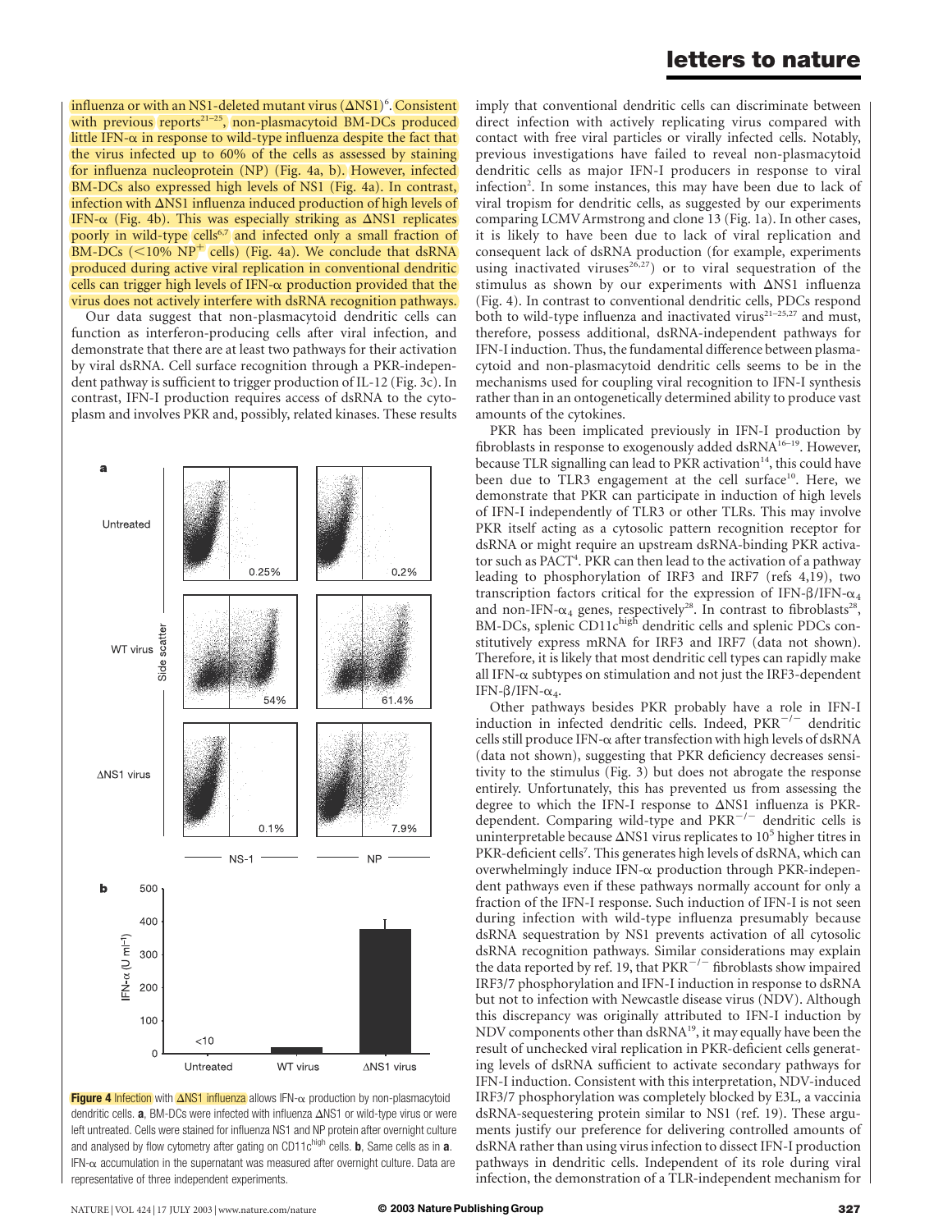influenza or with an NS1-deleted mutant virus  $(\Delta \text{NS1})^6$ . Consistent with previous reports<sup>21-25</sup>, non-plasmacytoid BM-DCs produced little IFN- $\alpha$  in response to wild-type influenza despite the fact that the virus infected up to 60% of the cells as assessed by staining for influenza nucleoprotein (NP) (Fig. 4a, b). However, infected BM-DCs also expressed high levels of NS1 (Fig. 4a). In contrast, infection with  $\Delta$ NS1 influenza induced production of high levels of IFN- $\alpha$  (Fig. 4b). This was especially striking as  $\Delta$ NS1 replicates poorly in wild-type cells<sup>6,7</sup> and infected only a small fraction of BM-DCs ( $\leq$ 10% NP<sup>+</sup> cells) (Fig. 4a). We conclude that dsRNA produced during active viral replication in conventional dendritic cells can trigger high levels of IFN- $\alpha$  production provided that the virus does not actively interfere with dsRNA recognition pathways.

Our data suggest that non-plasmacytoid dendritic cells can function as interferon-producing cells after viral infection, and demonstrate that there are at least two pathways for their activation by viral dsRNA. Cell surface recognition through a PKR-independent pathway is sufficient to trigger production of IL-12 (Fig. 3c). In contrast, IFN-I production requires access of dsRNA to the cytoplasm and involves PKR and, possibly, related kinases. These results



Figure 4 Infection with  $\Delta$ NS1 influenza allows IFN- $\alpha$  production by non-plasmacytoid dendritic cells.  $a$ , BM-DCs were infected with influenza  $\Delta$ NS1 or wild-type virus or were left untreated. Cells were stained for influenza NS1 and NP protein after overnight culture and analysed by flow cytometry after gating on CD11 $c^{high}$  cells. **b**, Same cells as in **a**.  $IFN-\alpha$  accumulation in the supernatant was measured after overnight culture. Data are representative of three independent experiments.

imply that conventional dendritic cells can discriminate between direct infection with actively replicating virus compared with contact with free viral particles or virally infected cells. Notably, previous investigations have failed to reveal non-plasmacytoid dendritic cells as major IFN-I producers in response to viral infection<sup>2</sup>. In some instances, this may have been due to lack of viral tropism for dendritic cells, as suggested by our experiments comparing LCMVArmstrong and clone 13 (Fig. 1a). In other cases, it is likely to have been due to lack of viral replication and consequent lack of dsRNA production (for example, experiments using inactivated viruses<sup>26,27</sup>) or to viral sequestration of the stimulus as shown by our experiments with  $\Delta$ NS1 influenza (Fig. 4). In contrast to conventional dendritic cells, PDCs respond both to wild-type influenza and inactivated virus<sup>21-25,27</sup> and must, therefore, possess additional, dsRNA-independent pathways for IFN-I induction. Thus, the fundamental difference between plasmacytoid and non-plasmacytoid dendritic cells seems to be in the mechanisms used for coupling viral recognition to IFN-I synthesis rather than in an ontogenetically determined ability to produce vast amounts of the cytokines.

PKR has been implicated previously in IFN-I production by fibroblasts in response to exogenously added dsRNA<sup>16-19</sup>. However, because TLR signalling can lead to PKR activation $14$ , this could have been due to TLR3 engagement at the cell surface<sup>10</sup>. Here, we demonstrate that PKR can participate in induction of high levels of IFN-I independently of TLR3 or other TLRs. This may involve PKR itself acting as a cytosolic pattern recognition receptor for dsRNA or might require an upstream dsRNA-binding PKR activator such as PACT<sup>4</sup>. PKR can then lead to the activation of a pathway leading to phosphorylation of IRF3 and IRF7 (refs 4,19), two transcription factors critical for the expression of IFN- $\beta$ /IFN- $\alpha_4$ and non-IFN- $\alpha_4$  genes, respectively<sup>28</sup>. In contrast to fibroblasts<sup>28</sup>, BM-DCs, splenic CD11chigh dendritic cells and splenic PDCs constitutively express mRNA for IRF3 and IRF7 (data not shown). Therefore, it is likely that most dendritic cell types can rapidly make all IFN- $\alpha$  subtypes on stimulation and not just the IRF3-dependent IFN- $\beta$ /IFN- $\alpha_4$ .

Other pathways besides PKR probably have a role in IFN-I induction in infected dendritic cells. Indeed,  $PKR^{-/-}$  dendritic cells still produce IFN-<sup>a</sup> after transfection with high levels of dsRNA (data not shown), suggesting that PKR deficiency decreases sensitivity to the stimulus (Fig. 3) but does not abrogate the response entirely. Unfortunately, this has prevented us from assessing the degree to which the IFN-I response to  $\Delta$ NS1 influenza is PKRdependent. Comparing wild-type and  $PKR^{-/-}$  dendritic cells is uninterpretable because  $\Delta$ NS1 virus replicates to 10<sup>5</sup> higher titres in PKR-deficient cells<sup>7</sup>. This generates high levels of dsRNA, which can overwhelmingly induce IFN- $\alpha$  production through PKR-independent pathways even if these pathways normally account for only a fraction of the IFN-I response. Such induction of IFN-I is not seen during infection with wild-type influenza presumably because dsRNA sequestration by NS1 prevents activation of all cytosolic dsRNA recognition pathways. Similar considerations may explain the data reported by ref. 19, that  $PKR^{-/-}$  fibroblasts show impaired IRF3/7 phosphorylation and IFN-I induction in response to dsRNA but not to infection with Newcastle disease virus (NDV). Although this discrepancy was originally attributed to IFN-I induction by NDV components other than dsRNA<sup>19</sup>, it may equally have been the result of unchecked viral replication in PKR-deficient cells generating levels of dsRNA sufficient to activate secondary pathways for IFN-I induction. Consistent with this interpretation, NDV-induced IRF3/7 phosphorylation was completely blocked by E3L, a vaccinia dsRNA-sequestering protein similar to NS1 (ref. 19). These arguments justify our preference for delivering controlled amounts of dsRNA rather than using virus infection to dissect IFN-I production pathways in dendritic cells. Independent of its role during viral infection, the demonstration of a TLR-independent mechanism for